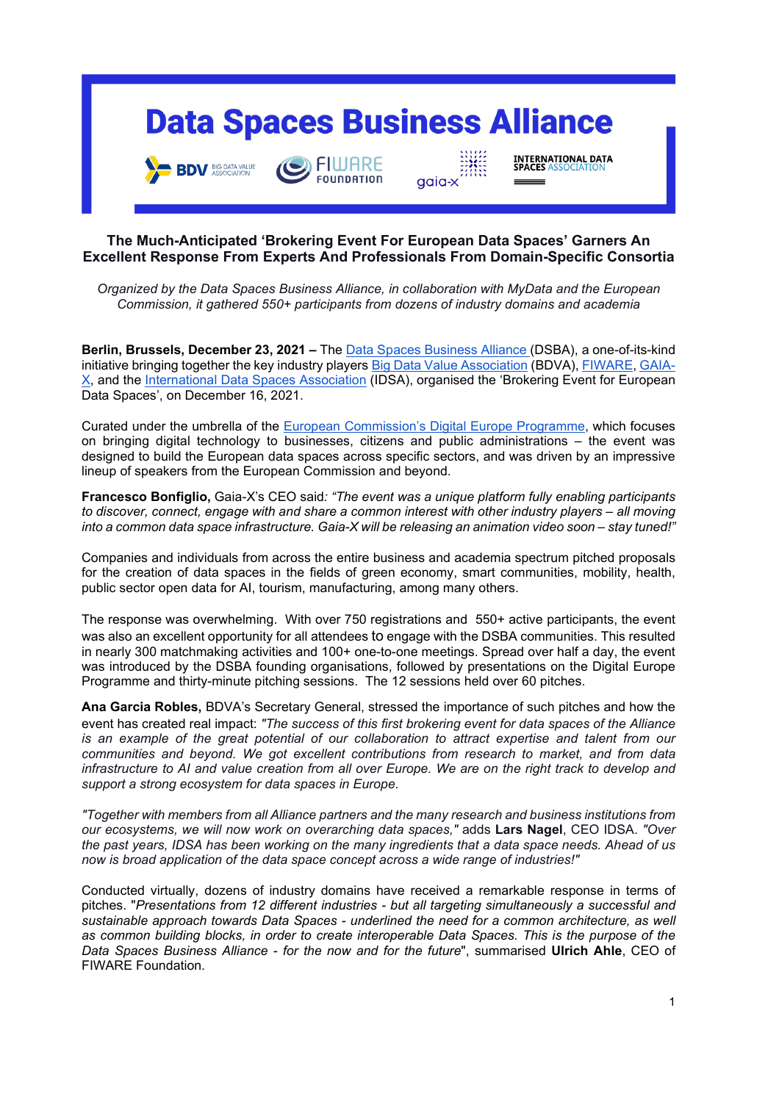# **Data Spaces Business Alliance**

agia-

FIWARE

**EQUIDDATION** 

**INTERNATIONAL DATA**<br>SPACES ASSOCIATION

**BDV** BIG DATA VALUE

**The Much-Anticipated 'Brokering Event For European Data Spaces' Garners An Excellent Response From Experts And Professionals From Domain-Specific Consortia**

*Organized by the Data Spaces Business Alliance, in collaboration with MyData and the European Commission, it gathered 550+ participants from dozens of industry domains and academia* 

**Berlin, Brussels, December 23, 2021 –** The [Data Spaces Business Alliance \(](https://data-spaces-business-alliance.eu/)DSBA), a one-of-its-kind initiative bringing together the key industry players [Big Data Value Association](https://www.bdva.eu/) (BDVA)[, FIWARE,](https://www.fiware.org/) [GAIA-](https://www.data-infrastructure.eu/GAIAX/Navigation/EN/Home/home.html)[X,](https://www.data-infrastructure.eu/GAIAX/Navigation/EN/Home/home.html) and the [International Data Spaces Association](https://internationaldataspaces.org/) (IDSA), organised the 'Brokering Event for European Data Spaces', on December 16, 2021.

Curated under the umbrella of the [European Commission's Digital Europe Programme,](https://digital-strategy.ec.europa.eu/en/activities/digital-programme) which focuses on bringing digital technology to businesses, citizens and public administrations – the event was designed to build the European data spaces across specific sectors, and was driven by an impressive lineup of speakers from the European Commission and beyond.

**Francesco Bonfiglio,** Gaia-X's CEO said*: "The event was a unique platform fully enabling participants to discover, connect, engage with and share a common interest with other industry players – all moving into a common data space infrastructure. Gaia-X will be releasing an animation video soon – stay tuned!"*

Companies and individuals from across the entire business and academia spectrum pitched proposals for the creation of data spaces in the fields of green economy, smart communities, mobility, health, public sector open data for AI, tourism, manufacturing, among many others.

The response was overwhelming. With over 750 registrations and 550+ active participants, the event was also an excellent opportunity for all attendees to engage with the DSBA communities. This resulted in nearly 300 matchmaking activities and 100+ one-to-one meetings. Spread over half a day, the event was introduced by the DSBA founding organisations, followed by presentations on the Digital Europe Programme and thirty-minute pitching sessions. The 12 sessions held over 60 pitches.

**Ana Garcia Robles,** BDVA's Secretary General, stressed the importance of such pitches and how the event has created real impact: *"The success of this first brokering event for data spaces of the Alliance is an example of the great potential of our collaboration to attract expertise and talent from our communities and beyond. We got excellent contributions from research to market, and from data infrastructure to AI and value creation from all over Europe. We are on the right track to develop and support a strong ecosystem for data spaces in Europe.*

*"Together with members from all Alliance partners and the many research and business institutions from our ecosystems, we will now work on overarching data spaces,"* adds **Lars Nagel**, CEO IDSA. *"Over the past years, IDSA has been working on the many ingredients that a data space needs. Ahead of us now is broad application of the data space concept across a wide range of industries!"*

Conducted virtually, dozens of industry domains have received a remarkable response in terms of pitches. "*Presentations from 12 different industries - but all targeting simultaneously a successful and sustainable approach towards Data Spaces - underlined the need for a common architecture, as well as common building blocks, in order to create interoperable Data Spaces. This is the purpose of the Data Spaces Business Alliance - for the now and for the future*", summarised **Ulrich Ahle**, CEO of FIWARE Foundation.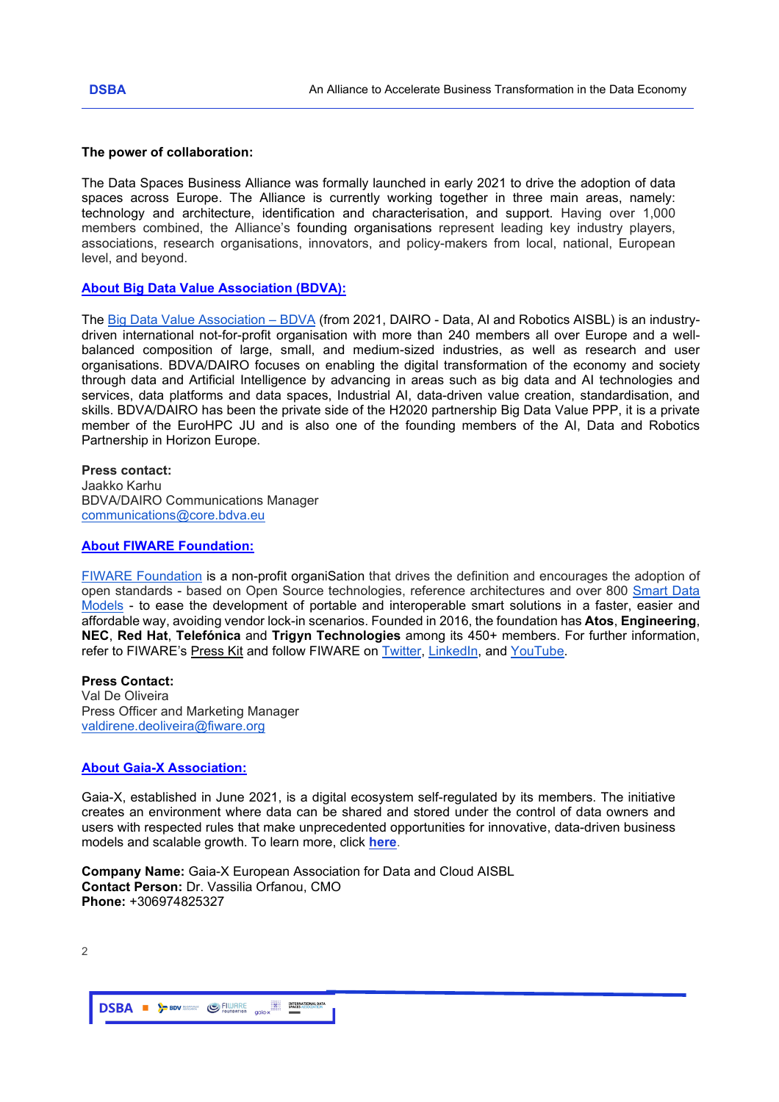## **The power of collaboration:**

The Data Spaces Business Alliance was formally launched in early 2021 to drive the adoption of data spaces across Europe. The Alliance is currently working together in three main areas, namely: technology and architecture, identification and characterisation, and support. Having over 1,000 members combined, the Alliance's founding organisations represent leading key industry players, associations, research organisations, innovators, and policy-makers from local, national, European level, and beyond.

## **About Big Data Value Association (BDVA):**

The [Big Data Value Association –](https://www.bdva.eu/) BDVA (from 2021, DAIRO - Data, AI and Robotics AISBL) is an industrydriven international not-for-profit organisation with more than 240 members all over Europe and a wellbalanced composition of large, small, and medium-sized industries, as well as research and user organisations. BDVA/DAIRO focuses on enabling the digital transformation of the economy and society through data and Artificial Intelligence by advancing in areas such as big data and AI technologies and services, data platforms and data spaces, Industrial AI, data-driven value creation, standardisation, and skills. BDVA/DAIRO has been the private side of the H2020 partnership Big Data Value PPP, it is a private member of the EuroHPC JU and is also one of the founding members of the AI, Data and Robotics Partnership in Horizon Europe.

#### **Press contact:**

Jaakko Karhu BDVA/DAIRO Communications Manager [communications@core.bdva.eu](mailto:communications@core.bdva.eu)

### **About FIWARE Foundation:**

[FIWARE Foundation](https://www.fiware.org/foundation/) is a non-profit organiSation that drives the definition and encourages the adoption of open standards - based on Open Source technologies, reference architectures and over 800 [Smart Data](https://github.com/smart-data-models)  [Models](https://github.com/smart-data-models) - to ease the development of portable and interoperable smart solutions in a faster, easier and affordable way, avoiding vendor lock-in scenarios. Founded in 2016, the foundation has **Atos**, **Engineering**, **NEC**, **Red Hat**, **Telefónica** and **Trigyn Technologies** among its 450+ members. For further information, refer to FIWARE's [Press Kit](https://www.fiware.org/wp-content/uploads/FIWARE_PressKit_English.pdf) and follow FIWARE on [Twitter,](https://twitter.com/FIWARE) [LinkedIn,](https://www.linkedin.com/company/fiware/) and [YouTube.](https://www.youtube.com/user/FIWARE)

## **Press Contact:**

Val De Oliveira Press Officer and Marketing Manager [valdirene.deoliveira@fiware.org](mailto:valdirene.deoliveira@fiware.org)

### **About Gaia-X Association:**

Gaia-X, established in June 2021, is a digital ecosystem self-regulated by its members. The initiative creates an environment where data can be shared and stored under the control of data owners and users with respected rules that make unprecedented opportunities for innovative, data-driven business models and scalable growth. To learn more, click **[here](https://www.data-infrastructure.eu/GAIAX/Navigation/EN/Home/home.html)**.

**Company Name:** Gaia-X European Association for Data and Cloud AISBL **Contact Person:** Dr. Vassilia Orfanou, CMO **Phone:** +306974825327